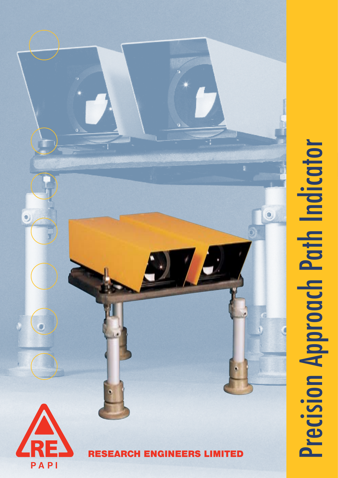

# **Precision Approach Path Indicator** Precision Approach Path Indicator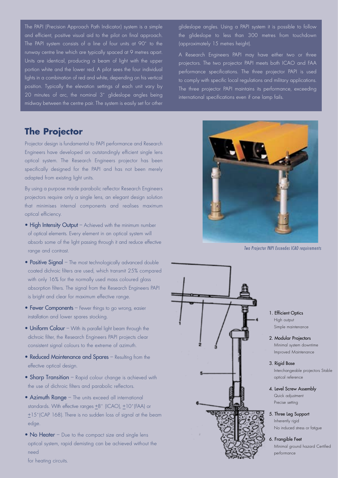The PAPI (Precision Approach Path Indicator) system is a simple and efficient, positive visual aid to the pilot on final approach. The PAPI system consists of a line of four units at 90˚ to the runway centre line which are typically spaced at 9 metres apart. Units are identical, producing a beam of light with the upper portion white and the lower red. A pilot sees the four individual lights in a combination of red and white, depending on his vertical position. Typically the elevation settings of each unit vary by 20 minutes of arc, the nominal 3˚ glideslope angles being midway between the centre pair. The system is easily set for other

### **The Projector**

Projector design is fundamental to PAPI performance and Research Engineers have developed an outstandingly efficient single lens optical system. The Research Engineers projector has been specifically designed for the PAPI and has not been merely adapted from existing light units.

By using a purpose made parabolic reflector Research Engineers projectors require only a single lens, an elegant design solution that minimises internal components and realises maximum optical efficiency.

- High Intensity Output Achieved with the minimum number of optical elements. Every element in an optical system will absorb some of the light passing through it and reduce effective range and contrast.
- Positive Signal The most technologically advanced double coated dichroic filters are used, which transmit 25% compared with only 16% for the normally used mass coloured glass absorption filters. The signal from the Research Engineers PAPI is bright and clear for maximum effective range.
- Fewer Components Fewer things to go wrong, easier installation and lower spares stocking.
- Uniform Colour With its parallel light beam through the dichroic filter, the Research Engineers PAPI projects clear consistent signal colours to the extreme of azimuth.
- Reduced Maintenance and Spares Resulting from the effective optical design.
- Sharp Transition Rapid colour change is achieved with the use of dichroic filters and parabolic reflectors.
- Azimuth Range The units exceed all international standards. With effective ranges +8° (ICAO), +10° (FAA) or  $±15°$  (CAP 168). There is no sudden loss of signal at the beam edge.
- No Heater Due to the compact size and single lens optical system, rapid demisting can be achieved without the need

glideslope angles. Using a PAPI system it is possible to follow the glideslope to less than 300 metres from touchdown (approximately 15 metres height).

A Research Engineers PAPI may have either two or three projectors. The two projector PAPI meets both ICAO and FAA performance specifications. The three projector PAPI is used to comply with specific local regulations and military applications. The three projector PAPI maintains its performance, exceeding international specifications even if one lamp fails.



Two Projector PAPI Exceedes ICAO requirements



- 1. Efficient Optics High output Simple maintenance
- 2. Modular Projectors Minimal system downtime Improved Maintenance
- 3. Rigid Base

Interchangeable projectors Stable optical reference

- 4. Level Screw Assembly Quick adjustment Precise setting
- 5. Three Leg Support

Inherently rigid No induced stress or fatigue

### 6. Frangible Feet

Minimal ground hazard Certified performance

for heating circuits.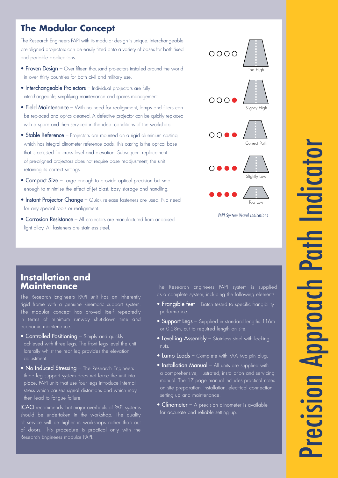# **The Modular Concept**

The Research Engineers PAPI with its modular design is unique. Interchangeable pre-aligned projectors can be easily fitted onto a variety of bases for both fixed and portable applications.

- Proven Design Over fifteen thousand projectors installed around the world in over thirty countries for both civil and military use.
- Interchangeable Projectors Individual projectors are fully interchangeable, simplifying maintenance and spares management.
- Field Maintenance With no need for realignment, lamps and filters can be replaced and optics cleaned. A defective projector can be quickly replaced with a spare and then serviced in the ideal conditions of the workshop.
- Stable Reference Projectors are mounted on a rigid aluminium casting which has integral clinometer reference pads. This casting is the optical base that is adjusted for cross level and elevation. Subsequent replacement of pre-aligned projectors does not require base readjustment, the unit retaining its correct settings.
- Compact Size Large enough to provide optical precision but small enough to minimise the effect of jet blast. Easy storage and handling.
- Instant Projector Change Quick release fasteners are used. No need for any special tools or realignment.
- Corrosion Resistance All projectors are manufactured from anodised light alloy. All fasteners are stainless steel.



PAPI System Visual Indications

### **Installation and Maintenance**

The Research Engineers PAPI unit has an inherently rigid frame with a genuine kinematic support system. The modular concept has proved itself repeatedly in terms of minimum runway shut-down time and economic maintenance.

- **Controlled Positioning** Simply and quickly achieved with three legs. The front legs level the unit laterally whilst the rear leg provides the elevation adjustment.
- No Induced Stressing The Research Engineers three leg support system does not force the unit into place. PAPI units that use four legs introduce internal stress which causes signal distortions and which may then lead to fatigue failure.

ICAO recommends that major overhauls of PAPI systems should be undertaken in the workshop. The quality of service will be higher in workshops rather than out of doors. This procedure is practical only with the Research Engineers modular PAPI.

The Research Engineers PAPI system is supplied as a complete system, including the following elements.

- Frangible feet Batch tested to specific frangibility performance.
- Support Legs Supplied in standard lengths 1.16m or 0.58m, cut to required length on site.
- Levelling Assembly Stainless steel with locking nuts.
- **Lamp Leads** Complete with FAA two pin plug.
- Installation Manual All units are supplied with a comprehensive, illustrated, installation and servicing manual. The 17 page manual includes practical notes on site preparation, installation, electrical connection, setting up and maintenance.
- $\bullet$  Clinometer A precision clinometer is available for accurate and reliable setting up.

# Precision Approach Path Indicator COTOL **Path recision Approach**